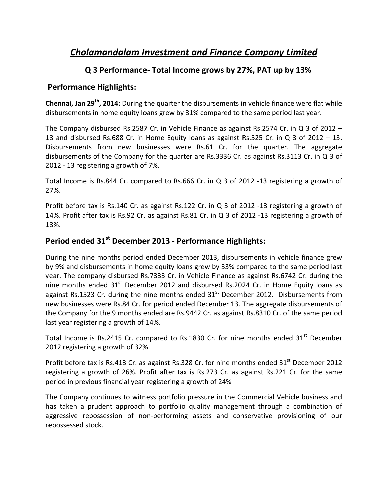# *Cholamandalam Investment and Finance Company Limited*

### **Q 3 Performance‐ Total Income grows by 27%, PAT up by 13%**

#### **Performance Highlights:**

**Chennai, Jan 29th, 2014:** During the quarter the disbursements in vehicle finance were flat while disbursements in home equity loans grew by 31% compared to the same period last year.

The Company disbursed Rs.2587 Cr. in Vehicle Finance as against Rs.2574 Cr. in Q 3 of 2012 – 13 and disbursed Rs.688 Cr. in Home Equity loans as against Rs.525 Cr. in Q 3 of 2012 – 13. Disbursements from new businesses were Rs.61 Cr. for the quarter. The aggregate disbursements of the Company for the quarter are Rs.3336 Cr. as against Rs.3113 Cr. in Q 3 of 2012 ‐ 13 registering a growth of 7%.

Total Income is Rs.844 Cr. compared to Rs.666 Cr. in Q 3 of 2012 ‐13 registering a growth of 27%.

Profit before tax is Rs.140 Cr. as against Rs.122 Cr. in Q 3 of 2012 -13 registering a growth of 14%. Profit after tax is Rs.92 Cr. as against Rs.81 Cr. in Q 3 of 2012 ‐13 registering a growth of 13%.

## **Period ended 31st December 2013 ‐ Performance Highlights:**

During the nine months period ended December 2013, disbursements in vehicle finance grew by 9% and disbursements in home equity loans grew by 33% compared to the same period last year. The company disbursed Rs.7333 Cr. in Vehicle Finance as against Rs.6742 Cr. during the nine months ended  $31<sup>st</sup>$  December 2012 and disbursed Rs.2024 Cr. in Home Equity loans as against Rs.1523 Cr. during the nine months ended  $31<sup>st</sup>$  December 2012. Disbursements from new businesses were Rs.84 Cr. for period ended December 13. The aggregate disbursements of the Company for the 9 months ended are Rs.9442 Cr. as against Rs.8310 Cr. of the same period last year registering a growth of 14%.

Total Income is Rs.2415 Cr. compared to Rs.1830 Cr. for nine months ended  $31<sup>st</sup>$  December 2012 registering a growth of 32%.

Profit before tax is Rs.413 Cr. as against Rs.328 Cr. for nine months ended 31<sup>st</sup> December 2012 registering a growth of 26%. Profit after tax is Rs.273 Cr. as against Rs.221 Cr. for the same period in previous financial year registering a growth of 24%

The Company continues to witness portfolio pressure in the Commercial Vehicle business and has taken a prudent approach to portfolio quality management through a combination of aggressive repossession of non‐performing assets and conservative provisioning of our repossessed stock.